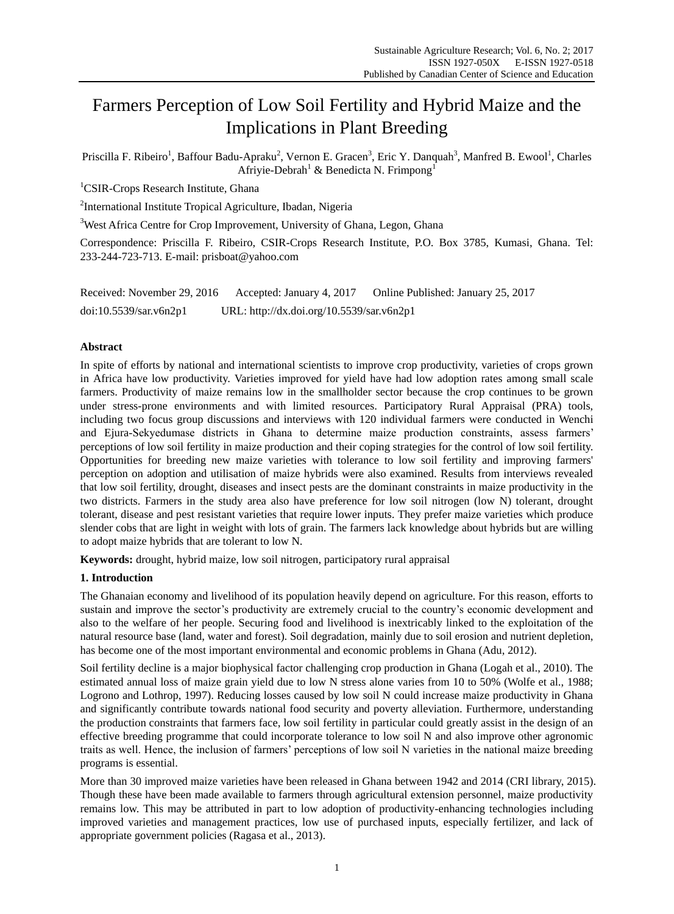# Farmers Perception of Low Soil Fertility and Hybrid Maize and the Implications in Plant Breeding

Priscilla F. Ribeiro<sup>1</sup>, Baffour Badu-Apraku<sup>2</sup>, Vernon E. Gracen<sup>3</sup>, Eric Y. Danquah<sup>3</sup>, Manfred B. Ewool<sup>1</sup>, Charles Afriyie-Debrah<sup>1</sup> & Benedicta N. Frimpong<sup>1</sup>

<sup>1</sup>CSIR-Crops Research Institute, Ghana

<sup>2</sup>International Institute Tropical Agriculture, Ibadan, Nigeria

<sup>3</sup>West Africa Centre for Crop Improvement, University of Ghana, Legon, Ghana

Correspondence: Priscilla F. Ribeiro, CSIR-Crops Research Institute, P.O. Box 3785, Kumasi, Ghana. Tel: 233-244-723-713. E-mail: prisboat@yahoo.com

Received: November 29, 2016 Accepted: January 4, 2017 Online Published: January 25, 2017 doi:10.5539/sar.v6n2p1 URL: http://dx.doi.org/10.5539/sar.v6n2p1

# **Abstract**

In spite of efforts by national and international scientists to improve crop productivity, varieties of crops grown in Africa have low productivity. Varieties improved for yield have had low adoption rates among small scale farmers. Productivity of maize remains low in the smallholder sector because the crop continues to be grown under stress-prone environments and with limited resources. Participatory Rural Appraisal (PRA) tools, including two focus group discussions and interviews with 120 individual farmers were conducted in Wenchi and Ejura-Sekyedumase districts in Ghana to determine maize production constraints, assess farmers' perceptions of low soil fertility in maize production and their coping strategies for the control of low soil fertility. Opportunities for breeding new maize varieties with tolerance to low soil fertility and improving farmers' perception on adoption and utilisation of maize hybrids were also examined. Results from interviews revealed that low soil fertility, drought, diseases and insect pests are the dominant constraints in maize productivity in the two districts. Farmers in the study area also have preference for low soil nitrogen (low N) tolerant, drought tolerant, disease and pest resistant varieties that require lower inputs. They prefer maize varieties which produce slender cobs that are light in weight with lots of grain. The farmers lack knowledge about hybrids but are willing to adopt maize hybrids that are tolerant to low N.

**Keywords:** drought, hybrid maize, low soil nitrogen, participatory rural appraisal

# **1. Introduction**

The Ghanaian economy and livelihood of its population heavily depend on agriculture. For this reason, efforts to sustain and improve the sector's productivity are extremely crucial to the country's economic development and also to the welfare of her people. Securing food and livelihood is inextricably linked to the exploitation of the natural resource base (land, water and forest). Soil degradation, mainly due to soil erosion and nutrient depletion, has become one of the most important environmental and economic problems in Ghana (Adu, 2012).

Soil fertility decline is a major biophysical factor challenging crop production in Ghana (Logah et al., 2010). The estimated annual loss of maize grain yield due to low N stress alone varies from 10 to 50% (Wolfe et al., 1988; Logrono and Lothrop, 1997). Reducing losses caused by low soil N could increase maize productivity in Ghana and significantly contribute towards national food security and poverty alleviation. Furthermore, understanding the production constraints that farmers face, low soil fertility in particular could greatly assist in the design of an effective breeding programme that could incorporate tolerance to low soil N and also improve other agronomic traits as well. Hence, the inclusion of farmers' perceptions of low soil N varieties in the national maize breeding programs is essential.

More than 30 improved maize varieties have been released in Ghana between 1942 and 2014 (CRI library, 2015). Though these have been made available to farmers through agricultural extension personnel, maize productivity remains low. This may be attributed in part to low adoption of productivity-enhancing technologies including improved varieties and management practices, low use of purchased inputs, especially fertilizer, and lack of appropriate government policies (Ragasa et al., 2013).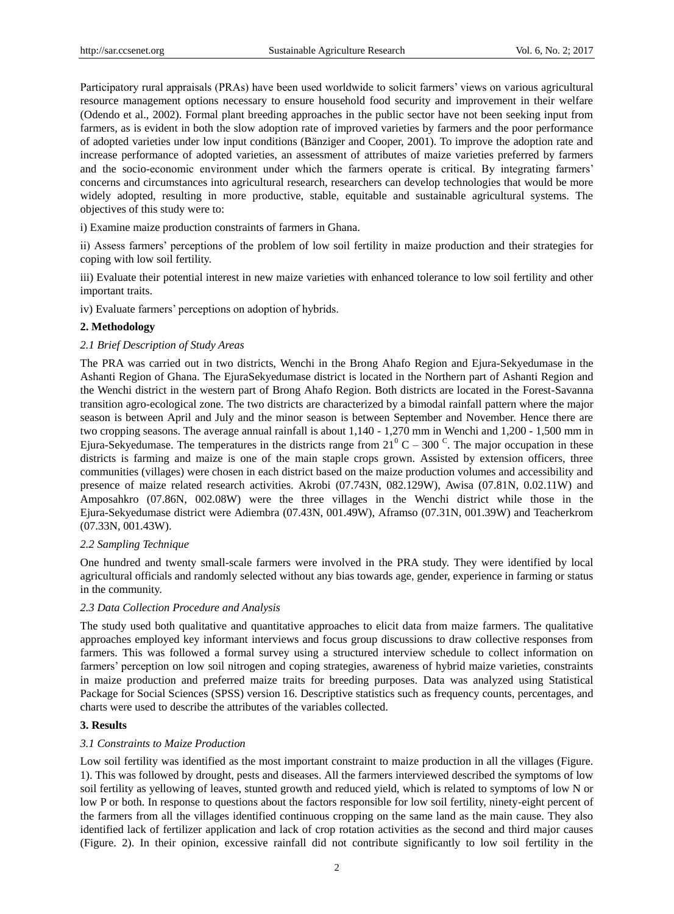Participatory rural appraisals (PRAs) have been used worldwide to solicit farmers' views on various agricultural resource management options necessary to ensure household food security and improvement in their welfare (Odendo et al., 2002). Formal plant breeding approaches in the public sector have not been seeking input from farmers, as is evident in both the slow adoption rate of improved varieties by farmers and the poor performance of adopted varieties under low input conditions (Bänziger and Cooper, 2001). To improve the adoption rate and increase performance of adopted varieties, an assessment of attributes of maize varieties preferred by farmers and the socio-economic environment under which the farmers operate is critical. By integrating farmers' concerns and circumstances into agricultural research, researchers can develop technologies that would be more widely adopted, resulting in more productive, stable, equitable and sustainable agricultural systems. The objectives of this study were to:

i) Examine maize production constraints of farmers in Ghana.

ii) Assess farmers' perceptions of the problem of low soil fertility in maize production and their strategies for coping with low soil fertility.

iii) Evaluate their potential interest in new maize varieties with enhanced tolerance to low soil fertility and other important traits.

iv) Evaluate farmers' perceptions on adoption of hybrids.

## **2. Methodology**

## *2.1 Brief Description of Study Areas*

The PRA was carried out in two districts, Wenchi in the Brong Ahafo Region and Ejura-Sekyedumase in the Ashanti Region of Ghana. The EjuraSekyedumase district is located in the Northern part of Ashanti Region and the Wenchi district in the western part of Brong Ahafo Region. Both districts are located in the Forest-Savanna transition agro-ecological zone. The two districts are characterized by a bimodal rainfall pattern where the major season is between April and July and the minor season is between September and November. Hence there are two cropping seasons. The average annual rainfall is about 1,140 - 1,270 mm in Wenchi and 1,200 - 1,500 mm in Ejura-Sekyedumase. The temperatures in the districts range from  $21^{\circ}$  C – 300 <sup>C</sup>. The major occupation in these districts is farming and maize is one of the main staple crops grown. Assisted by extension officers, three communities (villages) were chosen in each district based on the maize production volumes and accessibility and presence of maize related research activities. Akrobi (07.743N, 082.129W), Awisa (07.81N, 0.02.11W) and Amposahkro (07.86N, 002.08W) were the three villages in the Wenchi district while those in the Ejura-Sekyedumase district were Adiembra (07.43N, 001.49W), Aframso (07.31N, 001.39W) and Teacherkrom (07.33N, 001.43W).

## *2.2 Sampling Technique*

One hundred and twenty small-scale farmers were involved in the PRA study. They were identified by local agricultural officials and randomly selected without any bias towards age, gender, experience in farming or status in the community.

## *2.3 Data Collection Procedure and Analysis*

The study used both qualitative and quantitative approaches to elicit data from maize farmers. The qualitative approaches employed key informant interviews and focus group discussions to draw collective responses from farmers. This was followed a formal survey using a structured interview schedule to collect information on farmers' perception on low soil nitrogen and coping strategies, awareness of hybrid maize varieties, constraints in maize production and preferred maize traits for breeding purposes. Data was analyzed using Statistical Package for Social Sciences (SPSS) version 16. Descriptive statistics such as frequency counts, percentages, and charts were used to describe the attributes of the variables collected.

## **3. Results**

## *3.1 Constraints to Maize Production*

Low soil fertility was identified as the most important constraint to maize production in all the villages (Figure. 1). This was followed by drought, pests and diseases. All the farmers interviewed described the symptoms of low soil fertility as yellowing of leaves, stunted growth and reduced yield, which is related to symptoms of low N or low P or both. In response to questions about the factors responsible for low soil fertility, ninety-eight percent of the farmers from all the villages identified continuous cropping on the same land as the main cause. They also identified lack of fertilizer application and lack of crop rotation activities as the second and third major causes (Figure. 2). In their opinion, excessive rainfall did not contribute significantly to low soil fertility in the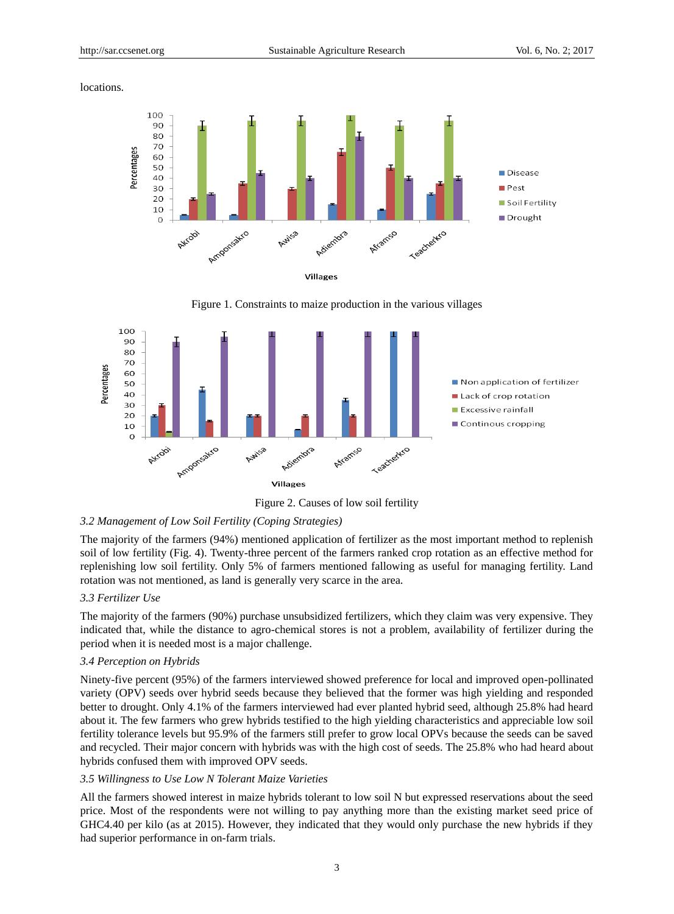locations.



Figure 1. Constraints to maize production in the various villages



Figure 2. Causes of low soil fertility

## *3.2 Management of Low Soil Fertility (Coping Strategies)*

The majority of the farmers (94%) mentioned application of fertilizer as the most important method to replenish soil of low fertility (Fig. 4). Twenty-three percent of the farmers ranked crop rotation as an effective method for replenishing low soil fertility. Only 5% of farmers mentioned fallowing as useful for managing fertility. Land rotation was not mentioned, as land is generally very scarce in the area.

## *3.3 Fertilizer Use*

The majority of the farmers (90%) purchase unsubsidized fertilizers, which they claim was very expensive. They indicated that, while the distance to agro-chemical stores is not a problem, availability of fertilizer during the period when it is needed most is a major challenge.

## *3.4 Perception on Hybrids*

Ninety-five percent (95%) of the farmers interviewed showed preference for local and improved open-pollinated variety (OPV) seeds over hybrid seeds because they believed that the former was high yielding and responded better to drought. Only 4.1% of the farmers interviewed had ever planted hybrid seed, although 25.8% had heard about it. The few farmers who grew hybrids testified to the high yielding characteristics and appreciable low soil fertility tolerance levels but 95.9% of the farmers still prefer to grow local OPVs because the seeds can be saved and recycled. Their major concern with hybrids was with the high cost of seeds. The 25.8% who had heard about hybrids confused them with improved OPV seeds.

## *3.5 Willingness to Use Low N Tolerant Maize Varieties*

All the farmers showed interest in maize hybrids tolerant to low soil N but expressed reservations about the seed price. Most of the respondents were not willing to pay anything more than the existing market seed price of GHC4.40 per kilo (as at 2015). However, they indicated that they would only purchase the new hybrids if they had superior performance in on-farm trials.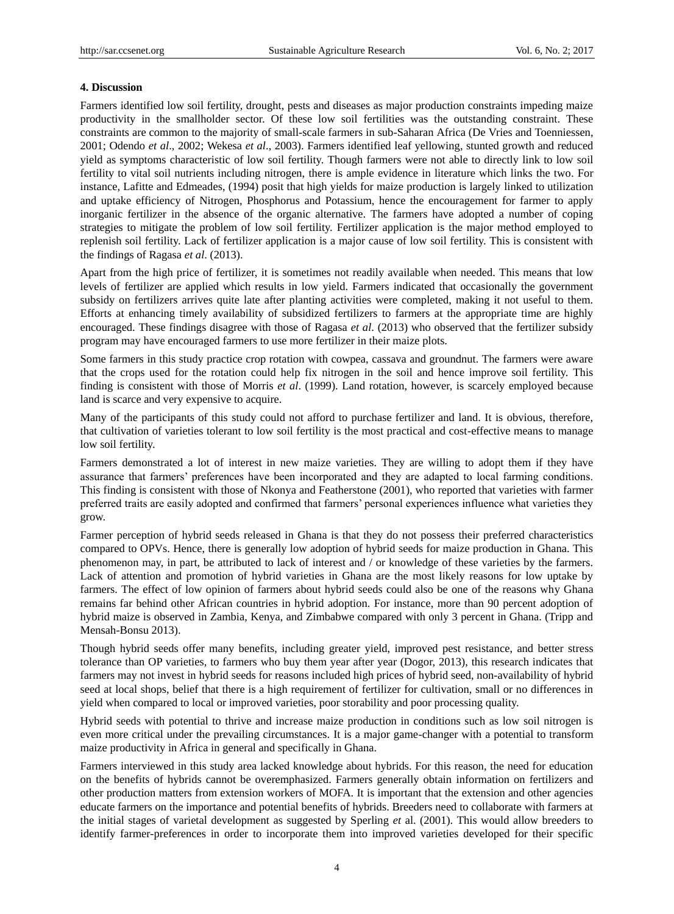## **4. Discussion**

Farmers identified low soil fertility, drought, pests and diseases as major production constraints impeding maize productivity in the smallholder sector. Of these low soil fertilities was the outstanding constraint. These constraints are common to the majority of small-scale farmers in sub-Saharan Africa (De Vries and Toenniessen, 2001; Odendo *et al*., 2002; Wekesa *et al*., 2003). Farmers identified leaf yellowing, stunted growth and reduced yield as symptoms characteristic of low soil fertility. Though farmers were not able to directly link to low soil fertility to vital soil nutrients including nitrogen, there is ample evidence in literature which links the two. For instance, Lafitte and Edmeades, (1994) posit that high yields for maize production is largely linked to utilization and uptake efficiency of Nitrogen, Phosphorus and Potassium, hence the encouragement for farmer to apply inorganic fertilizer in the absence of the organic alternative. The farmers have adopted a number of coping strategies to mitigate the problem of low soil fertility. Fertilizer application is the major method employed to replenish soil fertility. Lack of fertilizer application is a major cause of low soil fertility. This is consistent with the findings of Ragasa *et al*. (2013).

Apart from the high price of fertilizer, it is sometimes not readily available when needed. This means that low levels of fertilizer are applied which results in low yield. Farmers indicated that occasionally the government subsidy on fertilizers arrives quite late after planting activities were completed, making it not useful to them. Efforts at enhancing timely availability of subsidized fertilizers to farmers at the appropriate time are highly encouraged. These findings disagree with those of Ragasa *et al*. (2013) who observed that the fertilizer subsidy program may have encouraged farmers to use more fertilizer in their maize plots.

Some farmers in this study practice crop rotation with cowpea, cassava and groundnut. The farmers were aware that the crops used for the rotation could help fix nitrogen in the soil and hence improve soil fertility. This finding is consistent with those of Morris *et al*. (1999). Land rotation, however, is scarcely employed because land is scarce and very expensive to acquire.

Many of the participants of this study could not afford to purchase fertilizer and land. It is obvious, therefore, that cultivation of varieties tolerant to low soil fertility is the most practical and cost-effective means to manage low soil fertility.

Farmers demonstrated a lot of interest in new maize varieties. They are willing to adopt them if they have assurance that farmers' preferences have been incorporated and they are adapted to local farming conditions. This finding is consistent with those of Nkonya and Featherstone (2001), who reported that varieties with farmer preferred traits are easily adopted and confirmed that farmers' personal experiences influence what varieties they grow.

Farmer perception of hybrid seeds released in Ghana is that they do not possess their preferred characteristics compared to OPVs. Hence, there is generally low adoption of hybrid seeds for maize production in Ghana. This phenomenon may, in part, be attributed to lack of interest and / or knowledge of these varieties by the farmers. Lack of attention and promotion of hybrid varieties in Ghana are the most likely reasons for low uptake by farmers. The effect of low opinion of farmers about hybrid seeds could also be one of the reasons why Ghana remains far behind other African countries in hybrid adoption. For instance, more than 90 percent adoption of hybrid maize is observed in Zambia, Kenya, and Zimbabwe compared with only 3 percent in Ghana. (Tripp and Mensah-Bonsu 2013).

Though hybrid seeds offer many benefits, including greater yield, improved pest resistance, and better stress tolerance than OP varieties, to farmers who buy them year after year (Dogor, 2013), this research indicates that farmers may not invest in hybrid seeds for reasons included high prices of hybrid seed, non-availability of hybrid seed at local shops, belief that there is a high requirement of fertilizer for cultivation, small or no differences in yield when compared to local or improved varieties, poor storability and poor processing quality.

Hybrid seeds with potential to thrive and increase maize production in conditions such as low soil nitrogen is even more critical under the prevailing circumstances. It is a major game-changer with a potential to transform maize productivity in Africa in general and specifically in Ghana.

Farmers interviewed in this study area lacked knowledge about hybrids. For this reason, the need for education on the benefits of hybrids cannot be overemphasized. Farmers generally obtain information on fertilizers and other production matters from extension workers of MOFA. It is important that the extension and other agencies educate farmers on the importance and potential benefits of hybrids. Breeders need to collaborate with farmers at the initial stages of varietal development as suggested by Sperling *et* al. (2001). This would allow breeders to identify farmer-preferences in order to incorporate them into improved varieties developed for their specific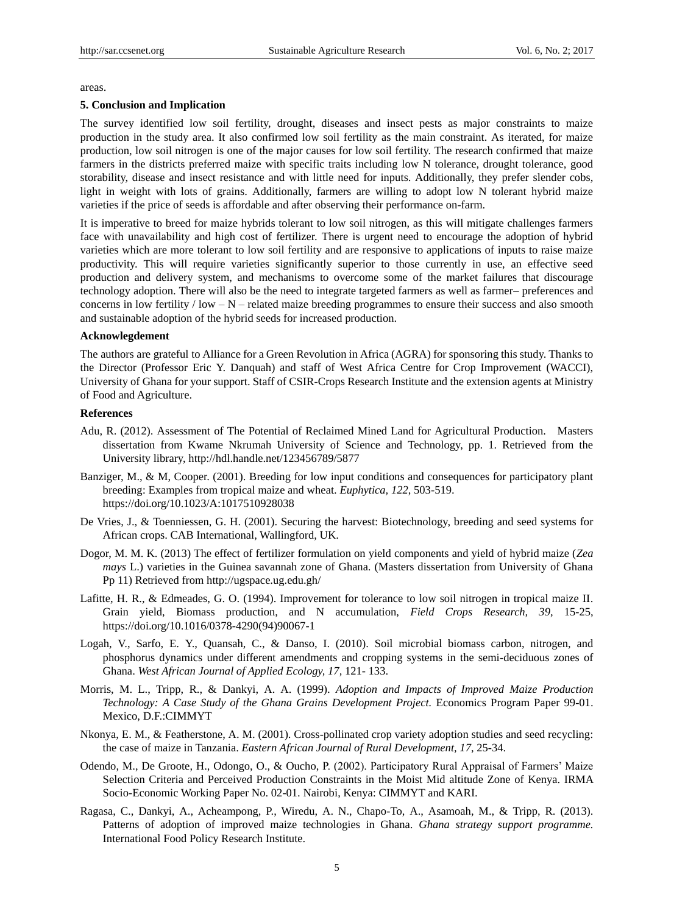#### areas.

#### **5. Conclusion and Implication**

The survey identified low soil fertility, drought, diseases and insect pests as major constraints to maize production in the study area. It also confirmed low soil fertility as the main constraint. As iterated, for maize production, low soil nitrogen is one of the major causes for low soil fertility. The research confirmed that maize farmers in the districts preferred maize with specific traits including low N tolerance, drought tolerance, good storability, disease and insect resistance and with little need for inputs. Additionally, they prefer slender cobs, light in weight with lots of grains. Additionally, farmers are willing to adopt low N tolerant hybrid maize varieties if the price of seeds is affordable and after observing their performance on-farm.

It is imperative to breed for maize hybrids tolerant to low soil nitrogen, as this will mitigate challenges farmers face with unavailability and high cost of fertilizer. There is urgent need to encourage the adoption of hybrid varieties which are more tolerant to low soil fertility and are responsive to applications of inputs to raise maize productivity. This will require varieties significantly superior to those currently in use, an effective seed production and delivery system, and mechanisms to overcome some of the market failures that discourage technology adoption. There will also be the need to integrate targeted farmers as well as farmer– preferences and concerns in low fertility  $/$  low  $-N$  – related maize breeding programmes to ensure their success and also smooth and sustainable adoption of the hybrid seeds for increased production.

#### **Acknowlegdement**

The authors are grateful to Alliance for a Green Revolution in Africa (AGRA) for sponsoring this study. Thanks to the Director (Professor Eric Y. Danquah) and staff of West Africa Centre for Crop Improvement (WACCI), University of Ghana for your support. Staff of CSIR-Crops Research Institute and the extension agents at Ministry of Food and Agriculture.

#### **References**

- Adu, R. (2012). Assessment of The Potential of Reclaimed Mined Land for Agricultural Production. Masters dissertation from Kwame Nkrumah University of Science and Technology, pp. 1. Retrieved from the University library, http://hdl.handle.net/123456789/5877
- Banziger, M., & M, Cooper. (2001). Breeding for low input conditions and consequences for participatory plant breeding: Examples from tropical maize and wheat. *Euphytica, 122*, 503-519. https://doi.org/10.1023/A:1017510928038
- De Vries, J., & Toenniessen, G. H. (2001). Securing the harvest: Biotechnology, breeding and seed systems for African crops. CAB International, Wallingford, UK.
- Dogor, M. M. K. (2013) The effect of fertilizer formulation on yield components and yield of hybrid maize (*Zea mays* L.) varieties in the Guinea savannah zone of Ghana. (Masters dissertation from University of Ghana Pp 11) Retrieved from http://ugspace.ug.edu.gh/
- Lafitte, H. R., & Edmeades, G. O. (1994). Improvement for tolerance to low soil nitrogen in tropical maize II. Grain yield, Biomass production, and N accumulation, *Field Crops Research, 39,* 15-25, https://doi.org/10.1016/0378-4290(94)90067-1
- Logah, V., Sarfo, E. Y., Quansah, C., & Danso, I. (2010). Soil microbial biomass carbon, nitrogen, and phosphorus dynamics under different amendments and cropping systems in the semi-deciduous zones of Ghana. *West African Journal of Applied Ecology, 17,* 121- 133.
- Morris, M. L., Tripp, R., & Dankyi, A. A. (1999). *Adoption and Impacts of Improved Maize Production Technology: A Case Study of the Ghana Grains Development Project.* Economics Program Paper 99-01. Mexico, D.F.:CIMMYT
- Nkonya, E. M., & Featherstone, A. M. (2001). Cross-pollinated crop variety adoption studies and seed recycling: the case of maize in Tanzania. *Eastern African Journal of Rural Development, 17*, 25-34.
- Odendo, M., De Groote, H., Odongo, O., & Oucho, P. (2002). Participatory Rural Appraisal of Farmers' Maize Selection Criteria and Perceived Production Constraints in the Moist Mid altitude Zone of Kenya. IRMA Socio-Economic Working Paper No. 02-01. Nairobi, Kenya: CIMMYT and KARI.
- Ragasa, C., Dankyi, A., Acheampong, P., Wiredu, A. N., Chapo-To, A., Asamoah, M., & Tripp, R. (2013). Patterns of adoption of improved maize technologies in Ghana. *Ghana strategy support programme.*  International Food Policy Research Institute.